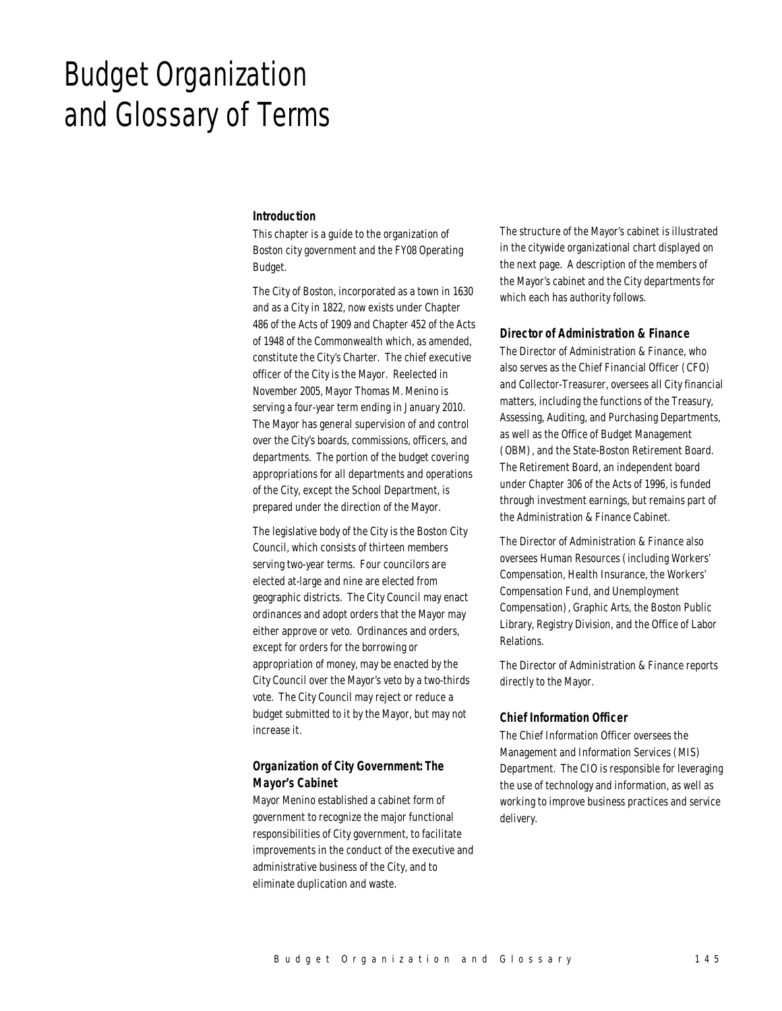# Budget Organization and Glossary of Terms

#### *Introduction*

This chapter is a guide to the organization of Boston city government and the FY08 Operating Budget.

The City of Boston, incorporated as a town in 1630 and as a City in 1822, now exists under Chapter 486 of the Acts of 1909 and Chapter 452 of the Acts of 1948 of the Commonwealth which, as amended, constitute the City's Charter. The chief executive officer of the City is the Mayor. Reelected in November 2005, Mayor Thomas M. Menino is serving a four-year term ending in January 2010. The Mayor has general supervision of and control over the City's boards, commissions, officers, and departments. The portion of the budget covering appropriations for all departments and operations of the City, except the School Department, is prepared under the direction of the Mayor.

The legislative body of the City is the Boston City Council, which consists of thirteen members serving two-year terms. Four councilors are elected at-large and nine are elected from geographic districts. The City Council may enact ordinances and adopt orders that the Mayor may either approve or veto. Ordinances and orders, except for orders for the borrowing or appropriation of money, may be enacted by the City Council over the Mayor's veto by a two-thirds vote. The City Council may reject or reduce a budget submitted to it by the Mayor, but may not increase it.

# *Organization of City Government: The Mayor's Cabinet*

Mayor Menino established a cabinet form of government to recognize the major functional responsibilities of City government, to facilitate improvements in the conduct of the executive and administrative business of the City, and to eliminate duplication and waste.

The structure of the Mayor's cabinet is illustrated in the citywide organizational chart displayed on the next page. A description of the members of the Mayor's cabinet and the City departments for which each has authority follows.

#### *Director of Administration & Finance*

The Director of Administration & Finance, who also serves as the Chief Financial Officer (CFO) and Collector-Treasurer, oversees all City financial matters, including the functions of the Treasury, Assessing, Auditing, and Purchasing Departments, as well as the Office of Budget Management (OBM), and the State-Boston Retirement Board. The Retirement Board, an independent board under Chapter 306 of the Acts of 1996, is funded through investment earnings, but remains part of the Administration & Finance Cabinet.

The Director of Administration & Finance also oversees Human Resources (including Workers' Compensation, Health Insurance, the Workers' Compensation Fund, and Unemployment Compensation), Graphic Arts, the Boston Public Library, Registry Division, and the Office of Labor Relations.

The Director of Administration & Finance reports directly to the Mayor.

#### *Chief Information Officer*

The Chief Information Officer oversees the Management and Information Services (MIS) Department. The CIO is responsible for leveraging the use of technology and information, as well as working to improve business practices and service delivery.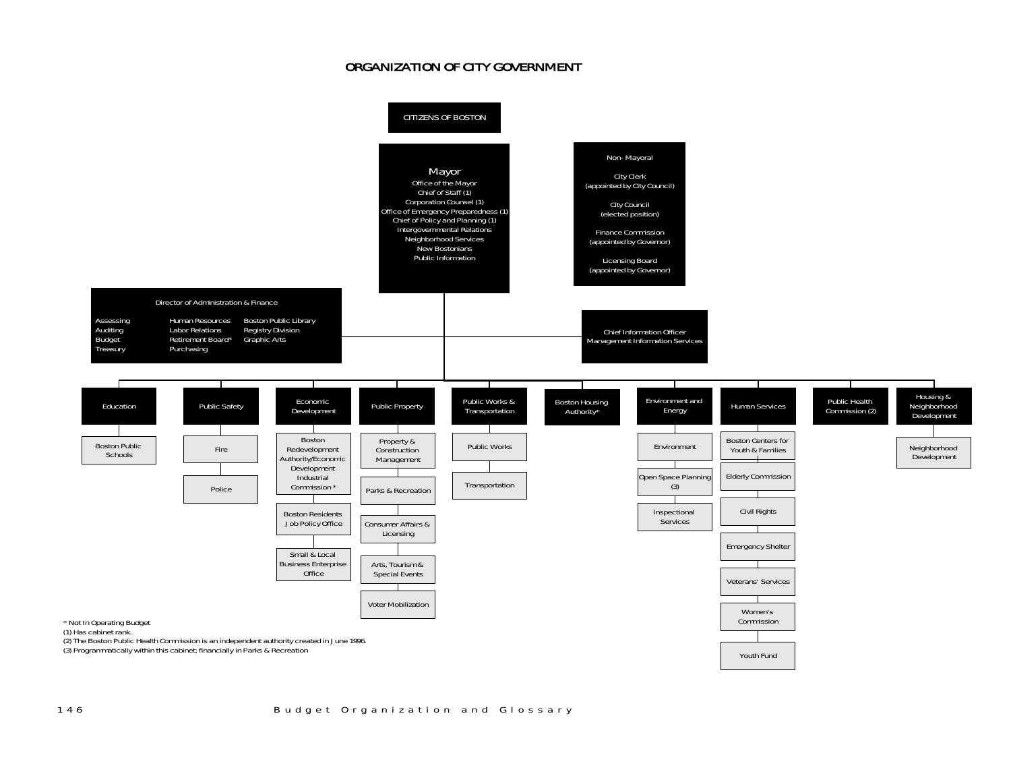# ORGANIZATION OF CITY GOVERNMENT

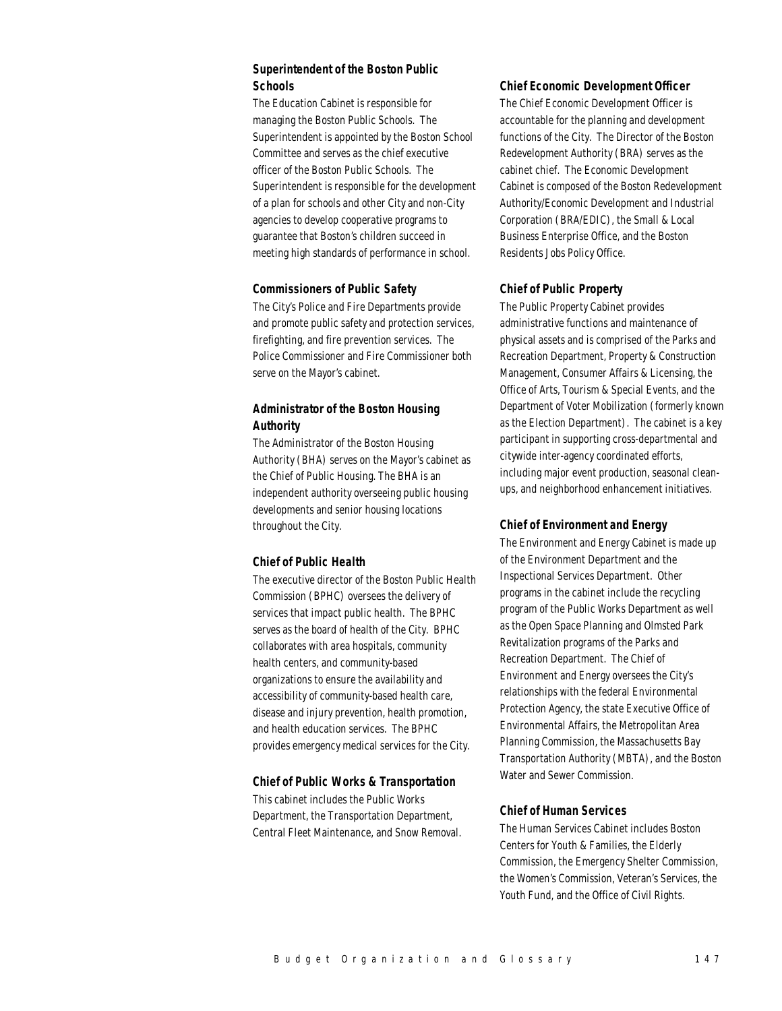# *Superintendent of the Boston Public Schools*

The Education Cabinet is responsible for managing the Boston Public Schools. The Superintendent is appointed by the Boston School Committee and serves as the chief executive officer of the Boston Public Schools. The Superintendent is responsible for the development of a plan for schools and other City and non-City agencies to develop cooperative programs to guarantee that Boston's children succeed in meeting high standards of performance in school.

## *Commissioners of Public Safety*

The City's Police and Fire Departments provide and promote public safety and protection services, firefighting, and fire prevention services. The Police Commissioner and Fire Commissioner both serve on the Mayor's cabinet.

# *Administrator of the Boston Housing Authority*

The Administrator of the Boston Housing Authority (BHA) serves on the Mayor's cabinet as the Chief of Public Housing. The BHA is an independent authority overseeing public housing developments and senior housing locations throughout the City.

## *Chief of Public Health*

The executive director of the Boston Public Health Commission (BPHC) oversees the delivery of services that impact public health. The BPHC serves as the board of health of the City. BPHC collaborates with area hospitals, community health centers, and community-based organizations to ensure the availability and accessibility of community-based health care, disease and injury prevention, health promotion, and health education services. The BPHC provides emergency medical services for the City.

## *Chief of Public Works & Transportation*

This cabinet includes the Public Works Department, the Transportation Department, Central Fleet Maintenance, and Snow Removal.

#### *Chief Economic Development Officer*

The Chief Economic Development Officer is accountable for the planning and development functions of the City. The Director of the Boston Redevelopment Authority (BRA) serves as the cabinet chief. The Economic Development Cabinet is composed of the Boston Redevelopment Authority/Economic Development and Industrial Corporation (BRA/EDIC), the Small & Local Business Enterprise Office, and the Boston Residents Jobs Policy Office.

## *Chief of Public Property*

The Public Property Cabinet provides administrative functions and maintenance of physical assets and is comprised of the Parks and Recreation Department, Property & Construction Management, Consumer Affairs & Licensing, the Office of Arts, Tourism & Special Events, and the Department of Voter Mobilization (formerly known as the Election Department). The cabinet is a key participant in supporting cross-departmental and citywide inter-agency coordinated efforts, including major event production, seasonal cleanups, and neighborhood enhancement initiatives.

## *Chief of Environment and Energy*

The Environment and Energy Cabinet is made up of the Environment Department and the Inspectional Services Department. Other programs in the cabinet include the recycling program of the Public Works Department as well as the Open Space Planning and Olmsted Park Revitalization programs of the Parks and Recreation Department. The Chief of Environment and Energy oversees the City's relationships with the federal Environmental Protection Agency, the state Executive Office of Environmental Affairs, the Metropolitan Area Planning Commission, the Massachusetts Bay Transportation Authority (MBTA), and the Boston Water and Sewer Commission.

## *Chief of Human Services*

The Human Services Cabinet includes Boston Centers for Youth & Families, the Elderly Commission, the Emergency Shelter Commission, the Women's Commission, Veteran's Services, the Youth Fund, and the Office of Civil Rights.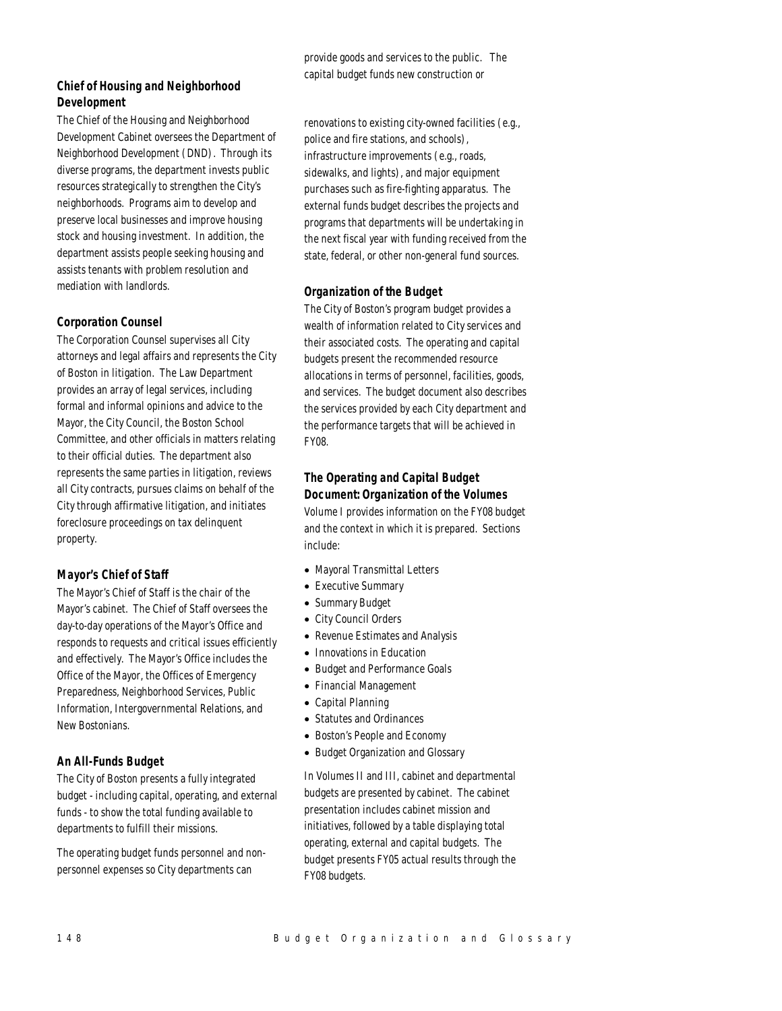# *Chief of Housing and Neighborhood Development*

The Chief of the Housing and Neighborhood Development Cabinet oversees the Department of Neighborhood Development (DND). Through its diverse programs, the department invests public resources strategically to strengthen the City's neighborhoods. Programs aim to develop and preserve local businesses and improve housing stock and housing investment. In addition, the department assists people seeking housing and assists tenants with problem resolution and mediation with landlords.

## *Corporation Counsel*

The Corporation Counsel supervises all City attorneys and legal affairs and represents the City of Boston in litigation. The Law Department provides an array of legal services, including formal and informal opinions and advice to the Mayor, the City Council, the Boston School Committee, and other officials in matters relating to their official duties. The department also represents the same parties in litigation, reviews all City contracts, pursues claims on behalf of the City through affirmative litigation, and initiates foreclosure proceedings on tax delinquent property.

# *Mayor's Chief of Staff*

The Mayor's Chief of Staff is the chair of the Mayor's cabinet. The Chief of Staff oversees the day-to-day operations of the Mayor's Office and responds to requests and critical issues efficiently and effectively. The Mayor's Office includes the Office of the Mayor, the Offices of Emergency Preparedness, Neighborhood Services, Public Information, Intergovernmental Relations, and New Bostonians.

# *An All-Funds Budget*

The City of Boston presents a fully integrated budget - including capital, operating, and external funds - to show the total funding available to departments to fulfill their missions.

The operating budget funds personnel and nonpersonnel expenses so City departments can

provide goods and services to the public. The capital budget funds new construction or

renovations to existing city-owned facilities (e.g., police and fire stations, and schools), infrastructure improvements (e.g., roads, sidewalks, and lights), and major equipment purchases such as fire-fighting apparatus. The external funds budget describes the projects and programs that departments will be undertaking in the next fiscal year with funding received from the state, federal, or other non-general fund sources.

# *Organization of the Budget*

The City of Boston's program budget provides a wealth of information related to City services and their associated costs. The operating and capital budgets present the recommended resource allocations in terms of personnel, facilities, goods, and services. The budget document also describes the services provided by each City department and the performance targets that will be achieved in FY08.

# *The Operating and Capital Budget Document: Organization of the Volumes*

Volume I provides information on the FY08 budget and the context in which it is prepared. Sections include:

- Mayoral Transmittal Letters
- Executive Summary
- Summary Budget
- City Council Orders
- Revenue Estimates and Analysis
- Innovations in Education
- Budget and Performance Goals
- Financial Management
- Capital Planning
- Statutes and Ordinances
- Boston's People and Economy
- Budget Organization and Glossary

In Volumes II and III, cabinet and departmental budgets are presented by cabinet. The cabinet presentation includes cabinet mission and initiatives, followed by a table displaying total operating, external and capital budgets. The budget presents FY05 actual results through the FY08 budgets.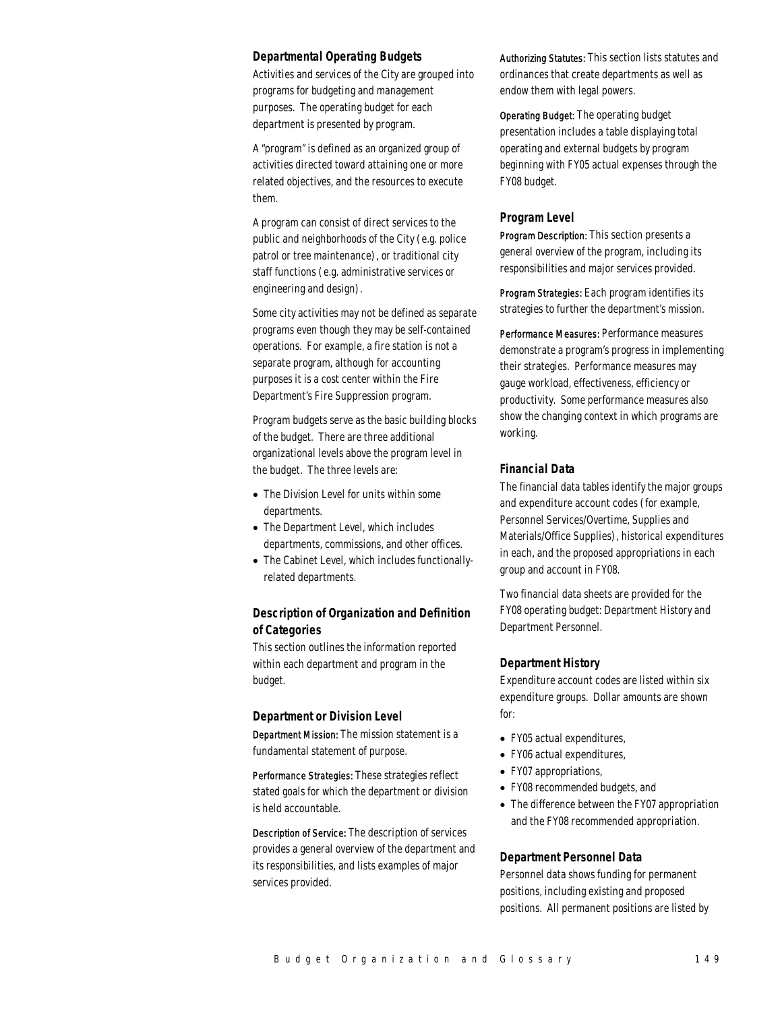#### *Departmental Operating Budgets*

Activities and services of the City are grouped into programs for budgeting and management purposes. The operating budget for each department is presented by program.

A "program" is defined as an organized group of activities directed toward attaining one or more related objectives, and the resources to execute them.

A program can consist of direct services to the public and neighborhoods of the City (e.g. police patrol or tree maintenance), or traditional city staff functions (e.g. administrative services or engineering and design).

Some city activities may not be defined as separate programs even though they may be self-contained operations. For example, a fire station is not a separate program, although for accounting purposes it is a cost center within the Fire Department's Fire Suppression program.

Program budgets serve as the basic building blocks of the budget. There are three additional organizational levels above the program level in the budget. The three levels are:

- The Division Level for units within some departments.
- The Department Level, which includes departments, commissions, and other offices.
- The Cabinet Level, which includes functionallyrelated departments.

## *Description of Organization and Definition of Categories*

This section outlines the information reported within each department and program in the budget.

#### *Department or Division Level*

Department Mission: The mission statement is a fundamental statement of purpose.

Performance Strategies: These strategies reflect stated goals for which the department or division is held accountable.

Description of Service: The description of services provides a general overview of the department and its responsibilities, and lists examples of major services provided.

Authorizing Statutes: This section lists statutes and ordinances that create departments as well as endow them with legal powers.

Operating Budget: The operating budget presentation includes a table displaying total operating and external budgets by program beginning with FY05 actual expenses through the FY08 budget.

#### *Program Level*

Program Description: This section presents a general overview of the program, including its responsibilities and major services provided.

Program Strategies: Each program identifies its strategies to further the department's mission.

Performance Measures: Performance measures demonstrate a program's progress in implementing their strategies. Performance measures may gauge workload, effectiveness, efficiency or productivity. Some performance measures also show the changing context in which programs are working.

## *Financial Data*

The financial data tables identify the major groups and expenditure account codes (for example, Personnel Services/Overtime, Supplies and Materials/Office Supplies), historical expenditures in each, and the proposed appropriations in each group and account in FY08.

Two financial data sheets are provided for the FY08 operating budget: Department History and Department Personnel.

#### *Department History*

Expenditure account codes are listed within six expenditure groups. Dollar amounts are shown for:

- FY05 actual expenditures,
- FY06 actual expenditures,
- FY07 appropriations,
- FY08 recommended budgets, and
- The difference between the FY07 appropriation and the FY08 recommended appropriation.

## *Department Personnel Data*

Personnel data shows funding for permanent positions, including existing and proposed positions. All permanent positions are listed by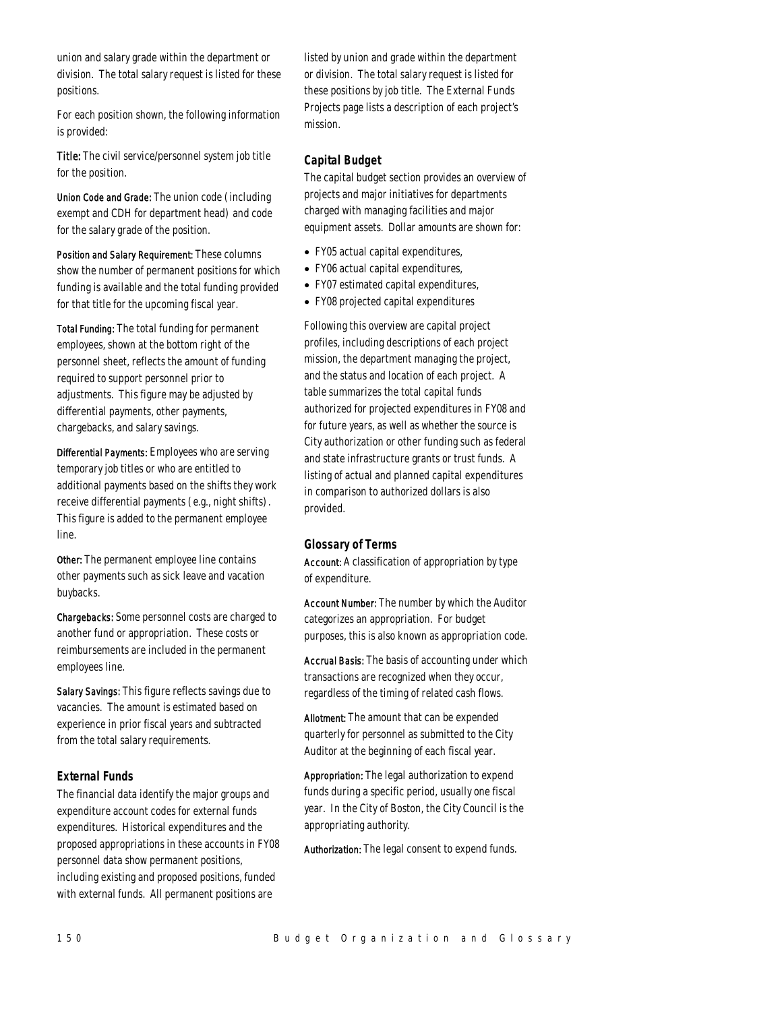union and salary grade within the department or division. The total salary request is listed for these positions.

For each position shown, the following information is provided:

Title: The civil service/personnel system job title for the position.

Union Code and Grade: The union code (including exempt and CDH for department head) and code for the salary grade of the position.

Position and Salary Requirement: These columns show the number of permanent positions for which funding is available and the total funding provided for that title for the upcoming fiscal year.

Total Funding: The total funding for permanent employees, shown at the bottom right of the personnel sheet, reflects the amount of funding required to support personnel prior to adjustments. This figure may be adjusted by differential payments, other payments, chargebacks, and salary savings.

Differential Payments: Employees who are serving temporary job titles or who are entitled to additional payments based on the shifts they work receive differential payments (e.g., night shifts). This figure is added to the permanent employee line.

Other: The permanent employee line contains other payments such as sick leave and vacation buybacks.

Chargebacks: Some personnel costs are charged to another fund or appropriation. These costs or reimbursements are included in the permanent employees line.

Salary Savings: This figure reflects savings due to vacancies. The amount is estimated based on experience in prior fiscal years and subtracted from the total salary requirements.

## *External Funds*

The financial data identify the major groups and expenditure account codes for external funds expenditures. Historical expenditures and the proposed appropriations in these accounts in FY08 personnel data show permanent positions, including existing and proposed positions, funded with external funds. All permanent positions are

listed by union and grade within the department or division. The total salary request is listed for these positions by job title. The External Funds Projects page lists a description of each project's mission.

## *Capital Budget*

The capital budget section provides an overview of projects and major initiatives for departments charged with managing facilities and major equipment assets. Dollar amounts are shown for:

- FY05 actual capital expenditures,
- FY06 actual capital expenditures,
- FY07 estimated capital expenditures,
- FY08 projected capital expenditures

Following this overview are capital project profiles, including descriptions of each project mission, the department managing the project, and the status and location of each project. A table summarizes the total capital funds authorized for projected expenditures in FY08 and for future years, as well as whether the source is City authorization or other funding such as federal and state infrastructure grants or trust funds. A listing of actual and planned capital expenditures in comparison to authorized dollars is also provided.

## *Glossary of Terms*

Account: A classification of appropriation by type of expenditure.

Account Number: The number by which the Auditor categorizes an appropriation. For budget purposes, this is also known as appropriation code.

Accrual Basis: The basis of accounting under which transactions are recognized when they occur, regardless of the timing of related cash flows.

Allotment: The amount that can be expended quarterly for personnel as submitted to the City Auditor at the beginning of each fiscal year.

Appropriation: The legal authorization to expend funds during a specific period, usually one fiscal year. In the City of Boston, the City Council is the appropriating authority.

Authorization: The legal consent to expend funds.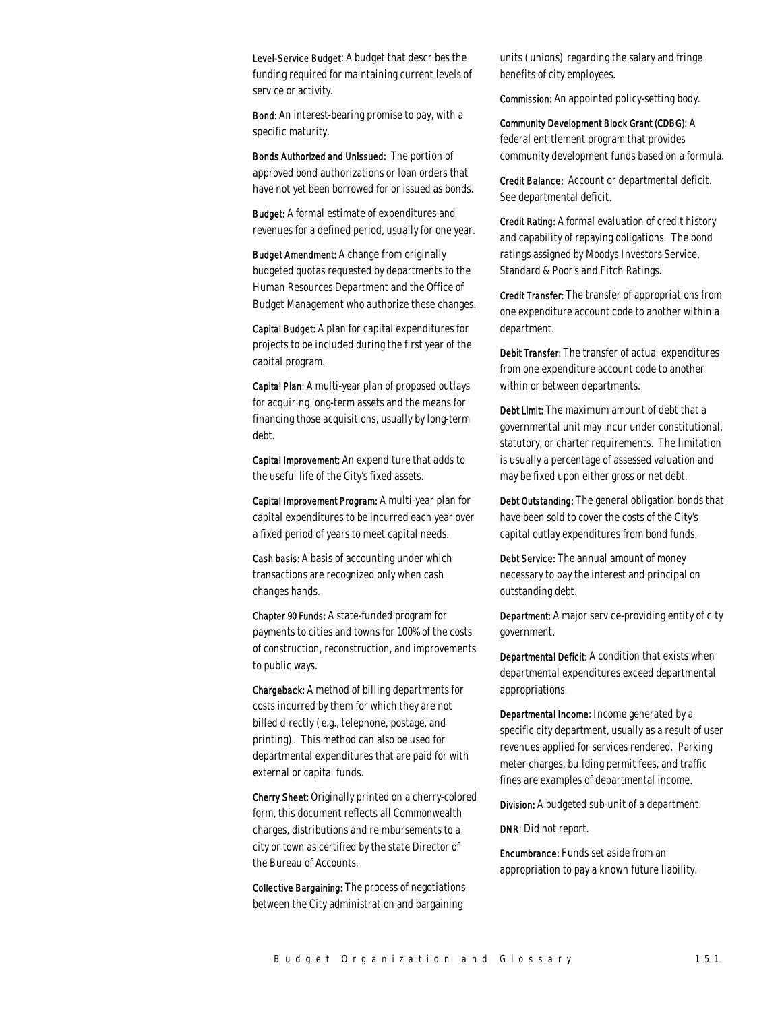Level-Service Budget: A budget that describes the funding required for maintaining current levels of service or activity.

Bond: An interest-bearing promise to pay, with a specific maturity.

Bonds Authorized and Unissued: The portion of approved bond authorizations or loan orders that have not yet been borrowed for or issued as bonds.

Budget: A formal estimate of expenditures and revenues for a defined period, usually for one year.

Budget Amendment: A change from originally budgeted quotas requested by departments to the Human Resources Department and the Office of Budget Management who authorize these changes.

Capital Budget: A plan for capital expenditures for projects to be included during the first year of the capital program.

Capital Plan: A multi-year plan of proposed outlays for acquiring long-term assets and the means for financing those acquisitions, usually by long-term debt.

Capital Improvement: An expenditure that adds to the useful life of the City's fixed assets.

Capital Improvement Program: A multi-year plan for capital expenditures to be incurred each year over a fixed period of years to meet capital needs.

Cash basis: A basis of accounting under which transactions are recognized only when cash changes hands.

Chapter 90 Funds: A state-funded program for payments to cities and towns for 100% of the costs of construction, reconstruction, and improvements to public ways.

Chargeback: A method of billing departments for costs incurred by them for which they are not billed directly (e.g., telephone, postage, and printing). This method can also be used for departmental expenditures that are paid for with external or capital funds.

Cherry Sheet: Originally printed on a cherry-colored form, this document reflects all Commonwealth charges, distributions and reimbursements to a city or town as certified by the state Director of the Bureau of Accounts.

Collective Bargaining: The process of negotiations between the City administration and bargaining

units (unions) regarding the salary and fringe benefits of city employees.

Commission: An appointed policy-setting body.

Community Development Block Grant (CDBG): A federal entitlement program that provides community development funds based on a formula.

Credit Balance: Account or departmental deficit. See departmental deficit.

Credit Rating: A formal evaluation of credit history and capability of repaying obligations. The bond ratings assigned by Moodys Investors Service, Standard & Poor's and Fitch Ratings.

Credit Transfer: The transfer of appropriations from one expenditure account code to another within a department.

Debit Transfer: The transfer of actual expenditures from one expenditure account code to another within or between departments.

Debt Limit: The maximum amount of debt that a governmental unit may incur under constitutional, statutory, or charter requirements. The limitation is usually a percentage of assessed valuation and may be fixed upon either gross or net debt.

Debt Outstanding: The general obligation bonds that have been sold to cover the costs of the City's capital outlay expenditures from bond funds.

Debt Service: The annual amount of money necessary to pay the interest and principal on outstanding debt.

Department: A major service-providing entity of city government.

Departmental Deficit: A condition that exists when departmental expenditures exceed departmental appropriations.

Departmental Income: Income generated by a specific city department, usually as a result of user revenues applied for services rendered. Parking meter charges, building permit fees, and traffic fines are examples of departmental income.

Division: A budgeted sub-unit of a department.

DNR: Did not report.

Encumbrance: Funds set aside from an appropriation to pay a known future liability.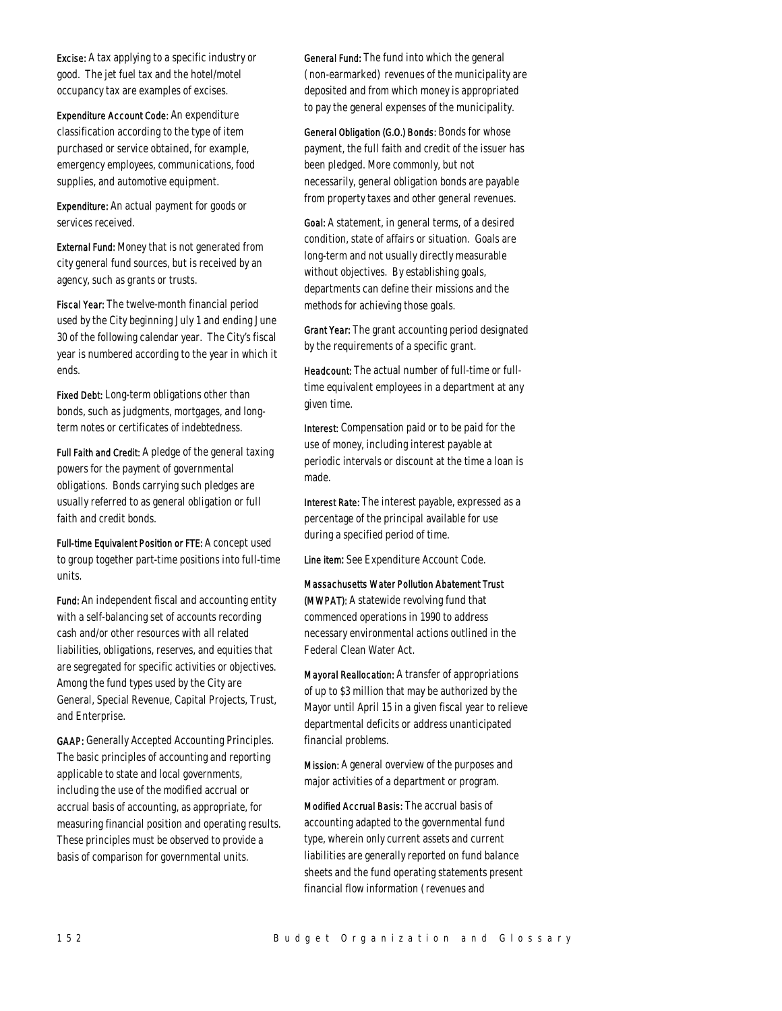Excise: A tax applying to a specific industry or good. The jet fuel tax and the hotel/motel occupancy tax are examples of excises.

Expenditure Account Code: An expenditure classification according to the type of item purchased or service obtained, for example, emergency employees, communications, food supplies, and automotive equipment.

Expenditure: An actual payment for goods or services received.

External Fund: Money that is not generated from city general fund sources, but is received by an agency, such as grants or trusts.

Fiscal Year: The twelve-month financial period used by the City beginning July 1 and ending June 30 of the following calendar year. The City's fiscal year is numbered according to the year in which it ends.

Fixed Debt: Long-term obligations other than bonds, such as judgments, mortgages, and longterm notes or certificates of indebtedness.

Full Faith and Credit: A pledge of the general taxing powers for the payment of governmental obligations. Bonds carrying such pledges are usually referred to as general obligation or full faith and credit bonds.

Full-time Equivalent Position or FTE: A concept used to group together part-time positions into full-time units.

Fund: An independent fiscal and accounting entity with a self-balancing set of accounts recording cash and/or other resources with all related liabilities, obligations, reserves, and equities that are segregated for specific activities or objectives. Among the fund types used by the City are General, Special Revenue, Capital Projects, Trust, and Enterprise.

GAAP: Generally Accepted Accounting Principles. The basic principles of accounting and reporting applicable to state and local governments, including the use of the modified accrual or accrual basis of accounting, as appropriate, for measuring financial position and operating results. These principles must be observed to provide a basis of comparison for governmental units.

General Fund: The fund into which the general (non-earmarked) revenues of the municipality are deposited and from which money is appropriated to pay the general expenses of the municipality.

General Obligation (G.O.) Bonds: Bonds for whose payment, the full faith and credit of the issuer has been pledged. More commonly, but not necessarily, general obligation bonds are payable from property taxes and other general revenues.

Goal: A statement, in general terms, of a desired condition, state of affairs or situation. Goals are long-term and not usually directly measurable without objectives. By establishing goals, departments can define their missions and the methods for achieving those goals.

Grant Year: The grant accounting period designated by the requirements of a specific grant.

Headcount: The actual number of full-time or fulltime equivalent employees in a department at any given time.

Interest: Compensation paid or to be paid for the use of money, including interest payable at periodic intervals or discount at the time a loan is made.

Interest Rate: The interest payable, expressed as a percentage of the principal available for use during a specified period of time.

Line item: See Expenditure Account Code.

Massachusetts Water Pollution Abatement Trust (MWPAT): A statewide revolving fund that commenced operations in 1990 to address necessary environmental actions outlined in the Federal Clean Water Act.

Mayoral Reallocation: A transfer of appropriations of up to \$3 million that may be authorized by the Mayor until April 15 in a given fiscal year to relieve departmental deficits or address unanticipated financial problems.

Mission: A general overview of the purposes and major activities of a department or program.

Modified Accrual Basis: The accrual basis of accounting adapted to the governmental fund type, wherein only current assets and current liabilities are generally reported on fund balance sheets and the fund operating statements present financial flow information (revenues and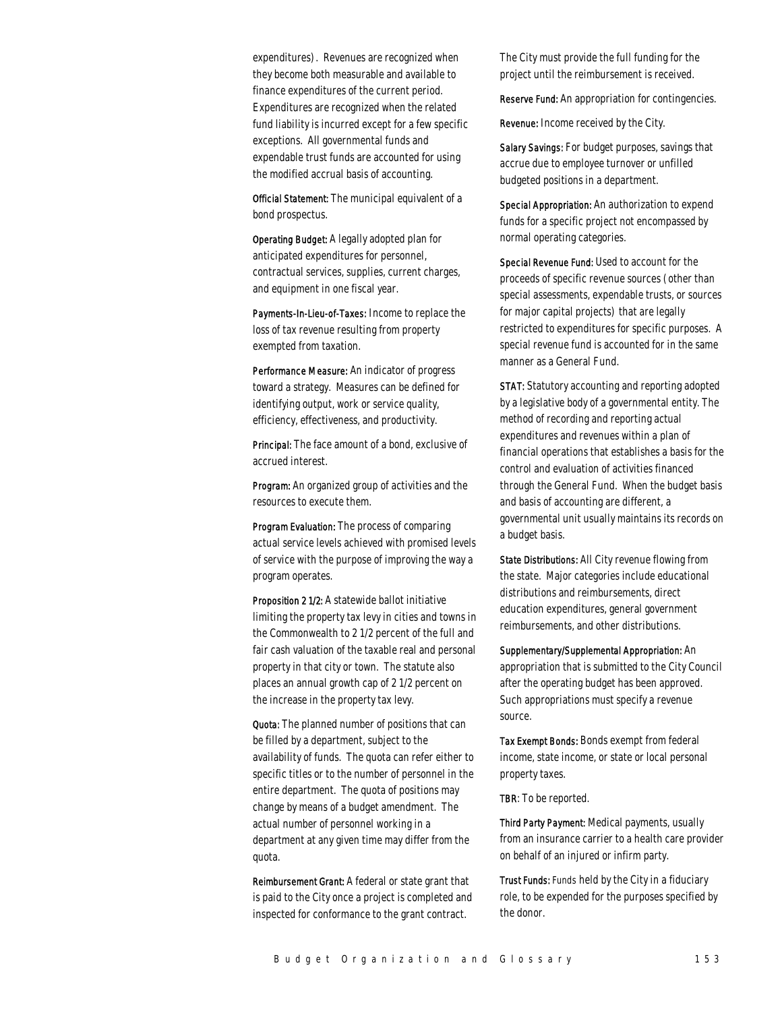expenditures). Revenues are recognized when they become both measurable and available to finance expenditures of the current period. Expenditures are recognized when the related fund liability is incurred except for a few specific exceptions. All governmental funds and expendable trust funds are accounted for using the modified accrual basis of accounting.

Official Statement: The municipal equivalent of a bond prospectus.

Operating Budget: A legally adopted plan for anticipated expenditures for personnel, contractual services, supplies, current charges, and equipment in one fiscal year.

Payments-In-Lieu-of-Taxes: Income to replace the loss of tax revenue resulting from property exempted from taxation.

Performance Measure: An indicator of progress toward a strategy. Measures can be defined for identifying output, work or service quality, efficiency, effectiveness, and productivity.

Principal: The face amount of a bond, exclusive of accrued interest.

Program: An organized group of activities and the resources to execute them.

Program Evaluation: The process of comparing actual service levels achieved with promised levels of service with the purpose of improving the way a program operates.

Proposition 2 1/2: A statewide ballot initiative limiting the property tax levy in cities and towns in the Commonwealth to 2 1/2 percent of the full and fair cash valuation of the taxable real and personal property in that city or town. The statute also places an annual growth cap of 2 1/2 percent on the increase in the property tax levy.

Quota: The planned number of positions that can be filled by a department, subject to the availability of funds. The quota can refer either to specific titles or to the number of personnel in the entire department. The quota of positions may change by means of a budget amendment. The actual number of personnel working in a department at any given time may differ from the quota.

Reimbursement Grant: A federal or state grant that is paid to the City once a project is completed and inspected for conformance to the grant contract.

The City must provide the full funding for the project until the reimbursement is received.

Reserve Fund: An appropriation for contingencies.

Revenue: Income received by the City.

Salary Savings: For budget purposes, savings that accrue due to employee turnover or unfilled budgeted positions in a department.

Special Appropriation: An authorization to expend funds for a specific project not encompassed by normal operating categories.

Special Revenue Fund: Used to account for the proceeds of specific revenue sources (other than special assessments, expendable trusts, or sources for major capital projects) that are legally restricted to expenditures for specific purposes. A special revenue fund is accounted for in the same manner as a General Fund.

STAT: Statutory accounting and reporting adopted by a legislative body of a governmental entity. The method of recording and reporting actual expenditures and revenues within a plan of financial operations that establishes a basis for the control and evaluation of activities financed through the General Fund. When the budget basis and basis of accounting are different, a governmental unit usually maintains its records on a budget basis.

State Distributions: All City revenue flowing from the state. Major categories include educational distributions and reimbursements, direct education expenditures, general government reimbursements, and other distributions.

Supplementary/Supplemental Appropriation: An appropriation that is submitted to the City Council after the operating budget has been approved. Such appropriations must specify a revenue source.

Tax Exempt Bonds: Bonds exempt from federal income, state income, or state or local personal property taxes.

TBR: To be reported.

Third Party Payment: Medical payments, usually from an insurance carrier to a health care provider on behalf of an injured or infirm party.

Trust Funds: Funds held by the City in a fiduciary role, to be expended for the purposes specified by the donor.